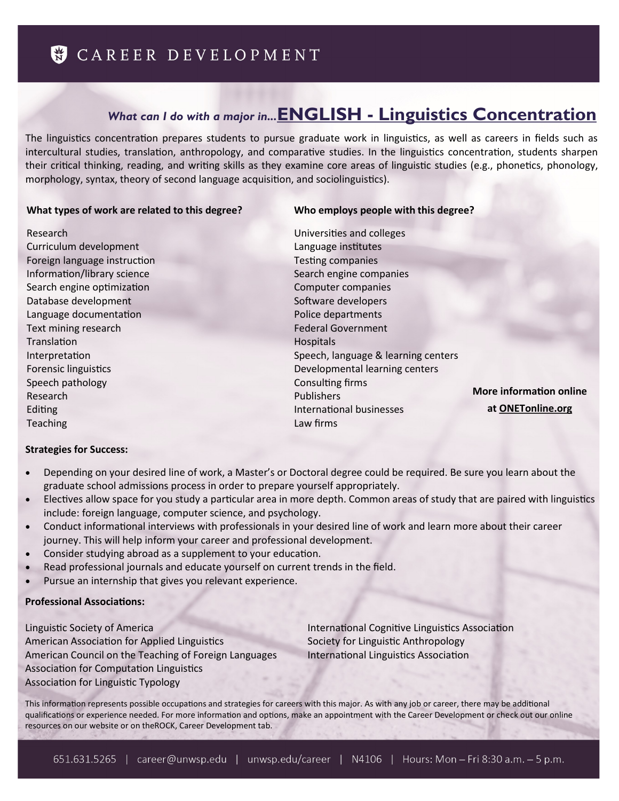# *What can I do with a major in...***ENGLISH - [Linguistics Concentration](https://www.unwsp.edu/web/english-dept/linguistics)**

The linguistics concentration prepares students to pursue graduate work in linguistics, as well as careers in fields such as intercultural studies, translation, anthropology, and comparative studies. In the linguistics concentration, students sharpen their critical thinking, reading, and writing skills as they examine core areas of linguistic studies (e.g., phonetics, phonology, morphology, syntax, theory of second language acquisition, and sociolinguistics).

### **What types of work are related to this degree?**

### **Who employs people with this degree?**

Research Curriculum development Foreign language instruction Information/library science Search engine optimization Database development Language documentation Text mining research **Translation** Interpretation Forensic linguistics Speech pathology Research Editing Teaching

### Universities and colleges Language institutes Testing companies Search engine companies Computer companies Software developers Police departments Federal Government **Hospitals** Speech, language & learning centers Developmental learning centers Consulting firms Publishers International businesses Law firms **More information online at [ONETonline.org](http://www.onetonline.org/find/descriptor/browse/Knowledge/)**

### **Strategies for Success:**

- Depending on your desired line of work, a Master's or Doctoral degree could be required. Be sure you learn about the graduate school admissions process in order to prepare yourself appropriately.
- Electives allow space for you study a particular area in more depth. Common areas of study that are paired with linguistics include: foreign language, computer science, and psychology.
- Conduct informational interviews with professionals in your desired line of work and learn more about their career journey. This will help inform your career and professional development.
- Consider studying abroad as a supplement to your education.
- Read professional journals and educate yourself on current trends in the field.
- Pursue an internship that gives you relevant experience.

### **Professional Associations:**

[Linguistic Society of America](http://www.linguisticsociety.org/) [American Association for Applied Linguistics](http://www.aaal.org/) [American Council on the Teaching of Foreign Languages](http://www.actfl.org/) [Association for Computation Linguistics](http://www.aclweb.org/) [Association for Linguistic Typology](http://www.linguistic-typology.org/)

[International Cognitive Linguistics Association](http://www.cognitivelinguistics.org/) [Society for Linguistic Anthropology](http://linguisticanthropology.org/) [International Linguistics Association](http://ilaword.org/site/)

This information represents possible occupations and strategies for careers with this major. As with any job or career, there may be additional qualifications or experience needed. For more information and options, make an appointment with the Career Development or check out our online resources on our website or on theROCK, Career Development tab.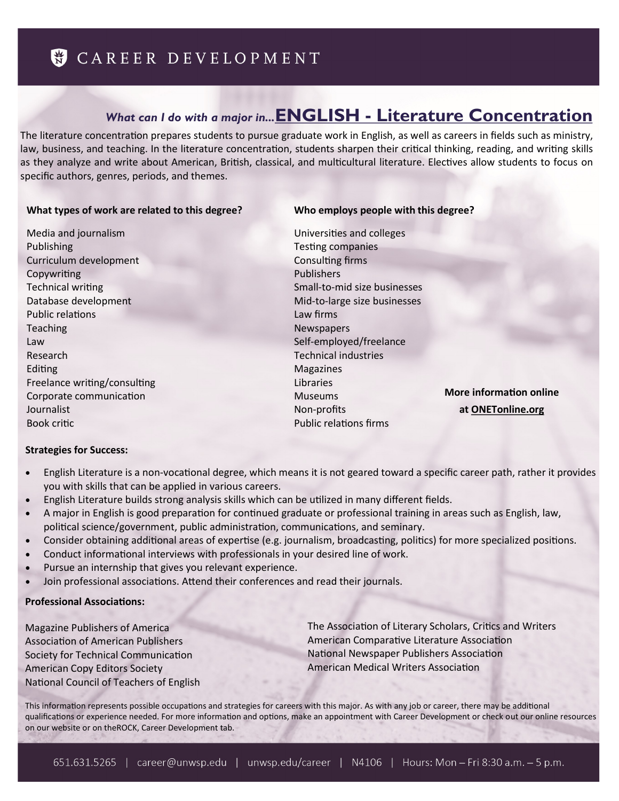# *What can I do with a major in...***ENGLISH - [Literature Concentration](https://www.unwsp.edu/web/english-dept/literature)**

The literature concentration prepares students to pursue graduate work in English, as well as careers in fields such as ministry, law, business, and teaching. In the literature concentration, students sharpen their critical thinking, reading, and writing skills as they analyze and write about American, British, classical, and multicultural literature. Electives allow students to focus on specific authors, genres, periods, and themes.

#### **What types of work are related to this degree?**

### **Who employs people with this degree?**

Media and journalism Publishing Curriculum development Copywriting Technical writing Database development Public relations Teaching Law Research Editing Freelance writing/consulting Corporate communication Journalist Book critic

Universities and colleges Testing companies Consulting firms Publishers Small-to-mid size businesses Mid-to-large size businesses Law firms Newspapers Self-employed/freelance Technical industries Magazines Libraries Museums Non-profits Public relations firms **More information online at [ONETonline.org](http://www.onetonline.org/find/descriptor/browse/Knowledge/)**

### **Strategies for Success:**

- English Literature is a non-vocational degree, which means it is not geared toward a specific career path, rather it provides you with skills that can be applied in various careers.
- English Literature builds strong analysis skills which can be utilized in many different fields.
- A major in English is good preparation for continued graduate or professional training in areas such as English, law, political science/government, public administration, communications, and seminary.
- Consider obtaining additional areas of expertise (e.g. journalism, broadcasting, politics) for more specialized positions.
- Conduct informational interviews with professionals in your desired line of work.
- Pursue an internship that gives you relevant experience.
- Join professional associations. Attend their conferences and read their journals.

### **Professional Associations:**

[Magazine Publishers of America](http://www.magazine.org/) [Association of American Publishers](http://www.publishers.org/) [Society for Technical Communication](http://www.stc.org/) [American Copy Editors Society](http://www.copydesk.org/) [National Council of Teachers of English](http://www.ncte.org/) [The Association of Literary Scholars, Critics and Writers](http://www.alscw.org/) [American Comparative Literature Association](https://www.acla.org/) [National Newspaper Publishers Association](http://www.nnpa.org/) [American Medical Writers Association](http://www.amwa.org/)

This information represents possible occupations and strategies for careers with this major. As with any job or career, there may be additional qualifications or experience needed. For more information and options, make an appointment with Career Development or check out our online resources on our website or on theROCK, Career Development tab.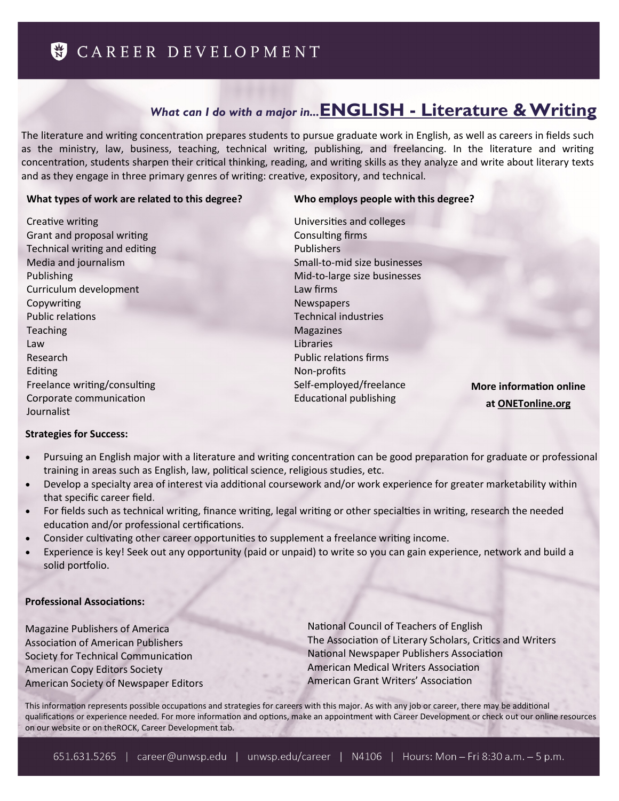# *What can I do with a major in...***ENGLISH - [Literature & Writing](https://www.unwsp.edu/web/english-dept/literature-writing)**

The literature and writing concentration prepares students to pursue graduate work in English, as well as careers in fields such as the ministry, law, business, teaching, technical writing, publishing, and freelancing. In the literature and writing concentration, students sharpen their critical thinking, reading, and writing skills as they analyze and write about literary texts and as they engage in three primary genres of writing: creative, expository, and technical.

### **What types of work are related to this degree?**

## **Who employs people with this degree?**

Creative writing Grant and proposal writing Technical writing and editing Media and journalism Publishing Curriculum development Copywriting Public relations Teaching Law Research Editing Freelance writing/consulting Corporate communication Journalist

Universities and colleges Consulting firms Publishers Small-to-mid size businesses Mid-to-large size businesses Law firms Newspapers Technical industries Magazines Libraries Public relations firms Non-profits Self-employed/freelance Educational publishing

**More information online at [ONETonline.org](http://www.onetonline.org/find/descriptor/browse/Knowledge/)**

### **Strategies for Success:**

- Pursuing an English major with a literature and writing concentration can be good preparation for graduate or professional training in areas such as English, law, political science, religious studies, etc.
- Develop a specialty area of interest via additional coursework and/or work experience for greater marketability within that specific career field.
- For fields such as technical writing, finance writing, legal writing or other specialties in writing, research the needed education and/or professional certifications.
- Consider cultivating other career opportunities to supplement a freelance writing income.
- Experience is key! Seek out any opportunity (paid or unpaid) to write so you can gain experience, network and build a solid portfolio.

### **Professional Associations:**

[Magazine Publishers of America](http://www.magazine.org/) [Association of American Publishers](http://www.publishers.org/) [Society for Technical Communication](http://www.stc.org/) [American Copy Editors Society](http://www.copydesk.org/) [American Society of Newspaper Editors](http://asne.org/) [National Council of Teachers of English](http://www.ncte.org/) [The Association of Literary Scholars, Critics and Writers](http://www.alscw.org/) [National Newspaper Publishers Association](http://www.nnpa.org/) [American Medical Writers Association](http://www.amwa.org/) [American Grant Writers' Association](http://www.agwa.us/)

This information represents possible occupations and strategies for careers with this major. As with any job or career, there may be additional qualifications or experience needed. For more information and options, make an appointment with Career Development or check out our online resources on our website or on theROCK, Career Development tab.